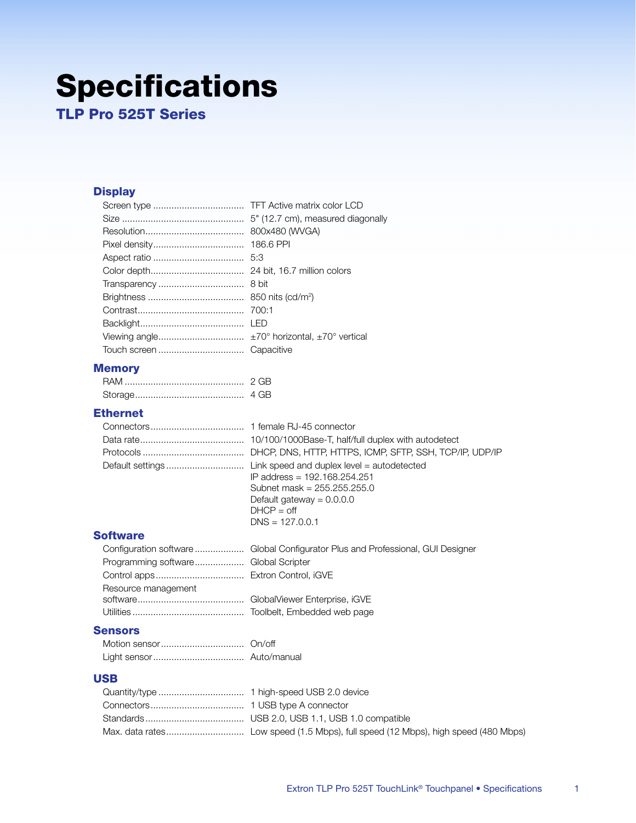# **Specifications**

**TLP Pro 525T Series** 

# **Display**

| 800x480 (WVGA) |
|----------------|
| 186.6 PPI      |
|                |
|                |
|                |
|                |
|                |
|                |
|                |
|                |
|                |

## **Memory**

| 4 GB |
|------|

## **Ethernet**

| IP address = 192.168.254.251<br>Subnet mask = $255.255.255.0$ |
|---------------------------------------------------------------|
| Default gateway = $0.0.0.0$                                   |
| $DHCP - off$                                                  |

$$
D\text{HCF} = 000
$$
  
DNS = 127.0.0.1

#### **Software**

| Programming software Global Scripter |  |
|--------------------------------------|--|
|                                      |  |
| Resource management                  |  |
|                                      |  |
|                                      |  |

## **Sensors**

#### **USB**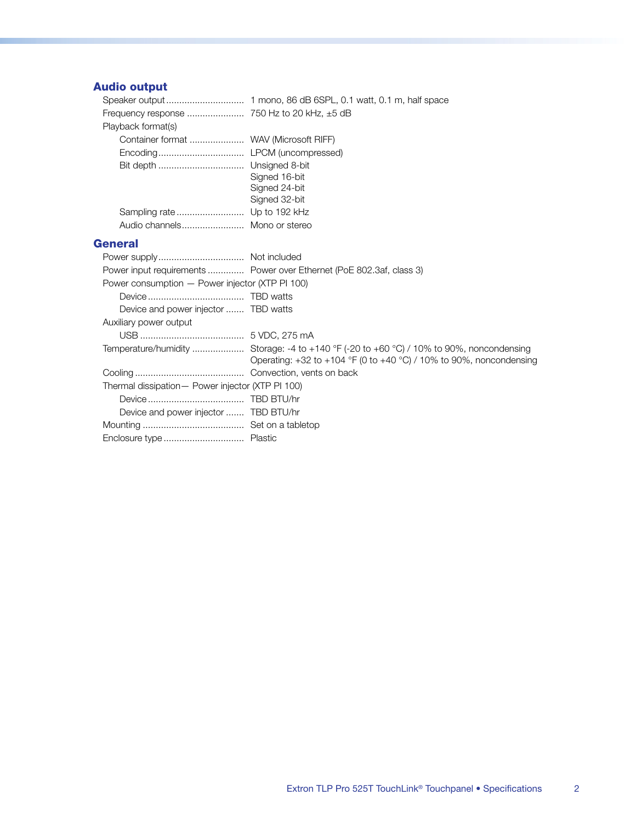# **Audio output**

| Playback format(s)                     |               |
|----------------------------------------|---------------|
| Container format  WAV (Microsoft RIFF) |               |
|                                        |               |
|                                        |               |
|                                        | Signed 16-bit |
|                                        | Signed 24-bit |
|                                        | Signed 32-bit |
|                                        |               |
| Audio channels Mono or stereo          |               |
|                                        |               |

## **General**

|                                                   | Power input requirements  Power over Ethernet (PoE 802.3af, class 3)      |
|---------------------------------------------------|---------------------------------------------------------------------------|
| Power consumption - Power injector (XTP PI 100)   |                                                                           |
|                                                   |                                                                           |
| Device and power injector  TBD watts              |                                                                           |
| Auxiliary power output                            |                                                                           |
|                                                   |                                                                           |
|                                                   | Operating: $+32$ to $+104$ °F (0 to $+40$ °C) / 10% to 90%, noncondensing |
|                                                   |                                                                           |
| Thermal dissipation - Power injector (XTP PI 100) |                                                                           |
|                                                   |                                                                           |
| Device and power injector  TBD BTU/hr             |                                                                           |
|                                                   |                                                                           |
|                                                   |                                                                           |